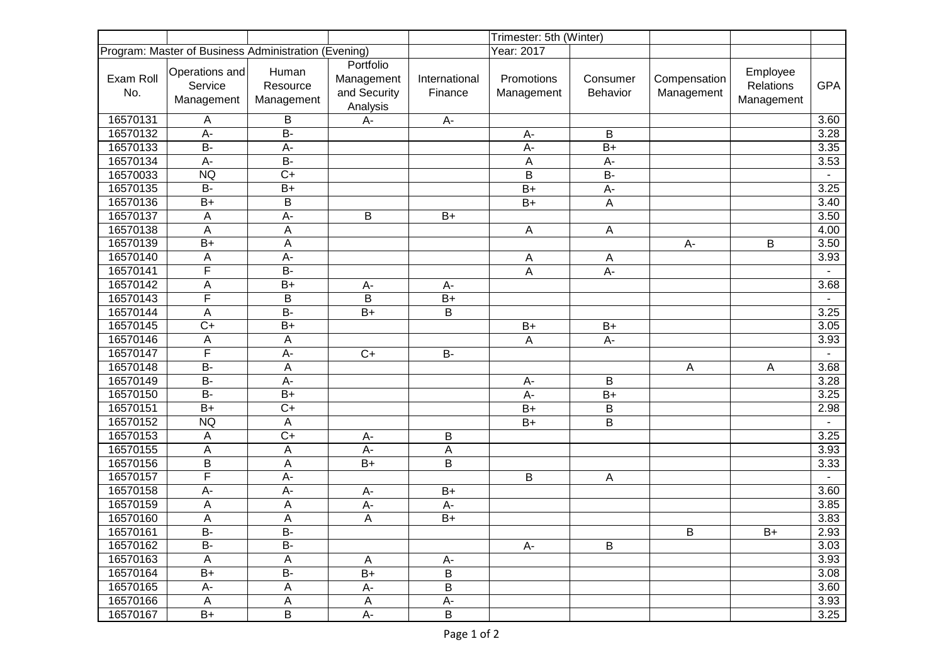|                                                      |                                         |                                 |                                                     | Trimester: 5th (Winter)  |                          |                           |                            |                                     |            |
|------------------------------------------------------|-----------------------------------------|---------------------------------|-----------------------------------------------------|--------------------------|--------------------------|---------------------------|----------------------------|-------------------------------------|------------|
| Program: Master of Business Administration (Evening) |                                         |                                 |                                                     | Year: 2017               |                          |                           |                            |                                     |            |
| Exam Roll<br>No.                                     | Operations and<br>Service<br>Management | Human<br>Resource<br>Management | Portfolio<br>Management<br>and Security<br>Analysis | International<br>Finance | Promotions<br>Management | Consumer<br>Behavior      | Compensation<br>Management | Employee<br>Relations<br>Management | <b>GPA</b> |
| 16570131                                             | Α                                       | B                               | A-                                                  | A-                       |                          |                           |                            |                                     | 3.60       |
| 16570132                                             | A-                                      | $\overline{B}$                  |                                                     |                          | A-                       | B                         |                            |                                     | 3.28       |
| 16570133                                             | $B -$                                   | $A-$                            |                                                     |                          | A-                       | $B+$                      |                            |                                     | 3.35       |
| 16570134                                             | A-                                      | $B -$                           |                                                     |                          | A                        | $A -$                     |                            |                                     | 3.53       |
| 16570033                                             | <b>NQ</b>                               | $C+$                            |                                                     |                          | B                        | <b>B-</b>                 |                            |                                     |            |
| 16570135                                             | $B -$                                   | $B+$                            |                                                     |                          | $B+$                     | A-                        |                            |                                     | 3.25       |
| 16570136                                             | $B+$                                    | B                               |                                                     |                          | $B+$                     | $\boldsymbol{\mathsf{A}}$ |                            |                                     | 3.40       |
| 16570137                                             | A                                       | A-                              | B                                                   | $B+$                     |                          |                           |                            |                                     | 3.50       |
| 16570138                                             | A                                       | A                               |                                                     |                          | Α                        | Α                         |                            |                                     | 4.00       |
| 16570139                                             | $\overline{B+}$                         | A                               |                                                     |                          |                          |                           | A-                         | B                                   | 3.50       |
| 16570140                                             | A                                       | $A -$                           |                                                     |                          | Α                        | Α                         |                            |                                     | 3.93       |
| 16570141                                             | F                                       | <b>B-</b>                       |                                                     |                          | $\overline{A}$           | A-                        |                            |                                     |            |
| 16570142                                             | A                                       | $B+$                            | $A-$                                                | $A-$                     |                          |                           |                            |                                     | 3.68       |
| 16570143                                             | F                                       | B                               | B                                                   | $B+$                     |                          |                           |                            |                                     |            |
| 16570144                                             | А                                       | $B -$                           | $B+$                                                | B                        |                          |                           |                            |                                     | 3.25       |
| 16570145                                             | $\overline{C+}$                         | $B+$                            |                                                     |                          | $B+$                     | $B+$                      |                            |                                     | 3.05       |
| 16570146                                             | Α                                       | Α                               |                                                     |                          | Α                        | $A-$                      |                            |                                     | 3.93       |
| 16570147                                             | F                                       | $A-$                            | $C+$                                                | <b>B-</b>                |                          |                           |                            |                                     |            |
| 16570148                                             | $\overline{B}$                          | A                               |                                                     |                          |                          |                           | $\overline{A}$             | $\mathsf{A}$                        | 3.68       |
| 16570149                                             | <b>B-</b>                               | $A -$                           |                                                     |                          | A-                       | B                         |                            |                                     | 3.28       |
| 16570150                                             | <b>B-</b>                               | $B+$                            |                                                     |                          | A-                       | $B+$                      |                            |                                     | 3.25       |
| 16570151                                             | $B+$                                    | $C+$                            |                                                     |                          | $B+$                     | B                         |                            |                                     | 2.98       |
| 16570152                                             | <b>NQ</b>                               | A                               |                                                     |                          | $B+$                     | B                         |                            |                                     |            |
| 16570153                                             | A                                       | $C+$                            | A-                                                  | B                        |                          |                           |                            |                                     | 3.25       |
| 16570155                                             | A                                       | A                               | A-                                                  | A                        |                          |                           |                            |                                     | 3.93       |
| 16570156                                             | B                                       | A                               | $B+$                                                | B                        |                          |                           |                            |                                     | 3.33       |
| 16570157                                             | F                                       | A-                              |                                                     |                          | B                        | A                         |                            |                                     |            |
| 16570158                                             | A-                                      | A-                              | $A-$                                                | $B+$                     |                          |                           |                            |                                     | 3.60       |
| 16570159                                             | A                                       | A                               | $A -$                                               | A-                       |                          |                           |                            |                                     | 3.85       |
| 16570160                                             | A                                       | A                               | Α                                                   | $B+$                     |                          |                           |                            |                                     | 3.83       |
| 16570161                                             | $\overline{B}$                          | $\overline{B}$                  |                                                     |                          |                          |                           | B                          | $B+$                                | 2.93       |
| 16570162                                             | <b>B-</b>                               | B-                              |                                                     |                          | A-                       | B                         |                            |                                     | 3.03       |
| 16570163                                             | A                                       | A                               | A                                                   | A-                       |                          |                           |                            |                                     | 3.93       |
| 16570164                                             | $B+$                                    | <b>B-</b>                       | $B+$                                                | B                        |                          |                           |                            |                                     | 3.08       |
| 16570165                                             | $A-$                                    | Α                               | $A-$                                                | B                        |                          |                           |                            |                                     | 3.60       |
| 16570166                                             | Α                                       | Α                               | $\mathsf{A}$                                        | A-                       |                          |                           |                            |                                     | 3.93       |
| 16570167                                             | $B+$                                    | B                               | A-                                                  | $\sf B$                  |                          |                           |                            |                                     | 3.25       |